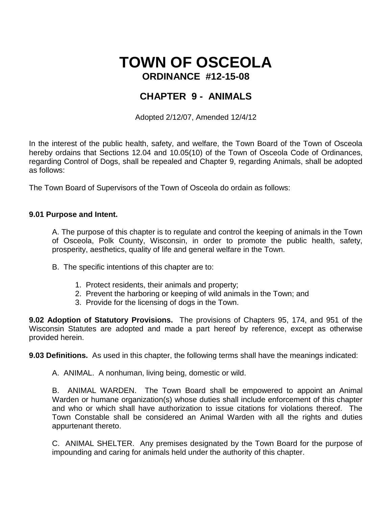# **TOWN OF OSCEOLA ORDINANCE #12-15-08**

# **CHAPTER 9 - ANIMALS**

Adopted 2/12/07, Amended 12/4/12

In the interest of the public health, safety, and welfare, the Town Board of the Town of Osceola hereby ordains that Sections 12.04 and 10.05(10) of the Town of Osceola Code of Ordinances, regarding Control of Dogs, shall be repealed and Chapter 9, regarding Animals, shall be adopted as follows:

The Town Board of Supervisors of the Town of Osceola do ordain as follows:

# **9.01 Purpose and Intent.**

A. The purpose of this chapter is to regulate and control the keeping of animals in the Town of Osceola, Polk County, Wisconsin, in order to promote the public health, safety, prosperity, aesthetics, quality of life and general welfare in the Town.

- B. The specific intentions of this chapter are to:
	- 1. Protect residents, their animals and property;
	- 2. Prevent the harboring or keeping of wild animals in the Town; and
	- 3. Provide for the licensing of dogs in the Town.

**9.02 Adoption of Statutory Provisions.** The provisions of Chapters 95, 174, and 951 of the Wisconsin Statutes are adopted and made a part hereof by reference, except as otherwise provided herein.

**9.03 Definitions.** As used in this chapter, the following terms shall have the meanings indicated:

A. ANIMAL. A nonhuman, living being, domestic or wild.

B. ANIMAL WARDEN. The Town Board shall be empowered to appoint an Animal Warden or humane organization(s) whose duties shall include enforcement of this chapter and who or which shall have authorization to issue citations for violations thereof. The Town Constable shall be considered an Animal Warden with all the rights and duties appurtenant thereto.

C. ANIMAL SHELTER. Any premises designated by the Town Board for the purpose of impounding and caring for animals held under the authority of this chapter.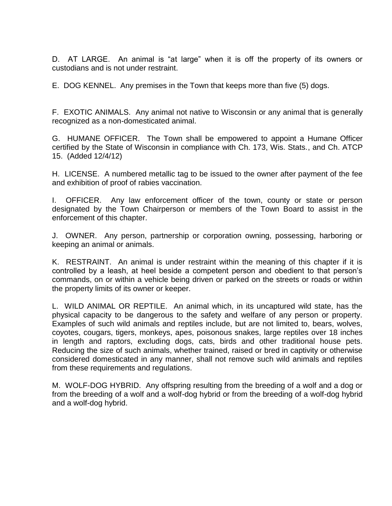D. AT LARGE. An animal is "at large" when it is off the property of its owners or custodians and is not under restraint.

E. DOG KENNEL. Any premises in the Town that keeps more than five (5) dogs.

F. EXOTIC ANIMALS. Any animal not native to Wisconsin or any animal that is generally recognized as a non-domesticated animal.

G. HUMANE OFFICER. The Town shall be empowered to appoint a Humane Officer certified by the State of Wisconsin in compliance with Ch. 173, Wis. Stats., and Ch. ATCP 15. (Added 12/4/12)

H. LICENSE. A numbered metallic tag to be issued to the owner after payment of the fee and exhibition of proof of rabies vaccination.

I. OFFICER. Any law enforcement officer of the town, county or state or person designated by the Town Chairperson or members of the Town Board to assist in the enforcement of this chapter.

J. OWNER. Any person, partnership or corporation owning, possessing, harboring or keeping an animal or animals.

K. RESTRAINT. An animal is under restraint within the meaning of this chapter if it is controlled by a leash, at heel beside a competent person and obedient to that person's commands, on or within a vehicle being driven or parked on the streets or roads or within the property limits of its owner or keeper.

L. WILD ANIMAL OR REPTILE. An animal which, in its uncaptured wild state, has the physical capacity to be dangerous to the safety and welfare of any person or property. Examples of such wild animals and reptiles include, but are not limited to, bears, wolves, coyotes, cougars, tigers, monkeys, apes, poisonous snakes, large reptiles over 18 inches in length and raptors, excluding dogs, cats, birds and other traditional house pets. Reducing the size of such animals, whether trained, raised or bred in captivity or otherwise considered domesticated in any manner, shall not remove such wild animals and reptiles from these requirements and regulations.

M. WOLF-DOG HYBRID. Any offspring resulting from the breeding of a wolf and a dog or from the breeding of a wolf and a wolf-dog hybrid or from the breeding of a wolf-dog hybrid and a wolf-dog hybrid.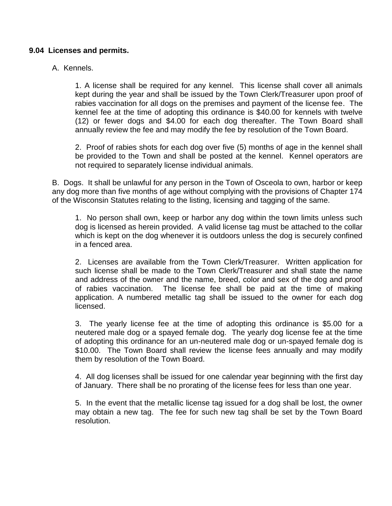# **9.04 Licenses and permits.**

# A. Kennels.

1. A license shall be required for any kennel. This license shall cover all animals kept during the year and shall be issued by the Town Clerk/Treasurer upon proof of rabies vaccination for all dogs on the premises and payment of the license fee. The kennel fee at the time of adopting this ordinance is \$40.00 for kennels with twelve (12) or fewer dogs and \$4.00 for each dog thereafter. The Town Board shall annually review the fee and may modify the fee by resolution of the Town Board.

2. Proof of rabies shots for each dog over five (5) months of age in the kennel shall be provided to the Town and shall be posted at the kennel. Kennel operators are not required to separately license individual animals.

B. Dogs. It shall be unlawful for any person in the Town of Osceola to own, harbor or keep any dog more than five months of age without complying with the provisions of Chapter 174 of the Wisconsin Statutes relating to the listing, licensing and tagging of the same.

1. No person shall own, keep or harbor any dog within the town limits unless such dog is licensed as herein provided. A valid license tag must be attached to the collar which is kept on the dog whenever it is outdoors unless the dog is securely confined in a fenced area.

2. Licenses are available from the Town Clerk/Treasurer. Written application for such license shall be made to the Town Clerk/Treasurer and shall state the name and address of the owner and the name, breed, color and sex of the dog and proof of rabies vaccination. The license fee shall be paid at the time of making application. A numbered metallic tag shall be issued to the owner for each dog licensed.

3. The yearly license fee at the time of adopting this ordinance is \$5.00 for a neutered male dog or a spayed female dog. The yearly dog license fee at the time of adopting this ordinance for an un-neutered male dog or un-spayed female dog is \$10.00. The Town Board shall review the license fees annually and may modify them by resolution of the Town Board.

4. All dog licenses shall be issued for one calendar year beginning with the first day of January. There shall be no prorating of the license fees for less than one year.

5. In the event that the metallic license tag issued for a dog shall be lost, the owner may obtain a new tag. The fee for such new tag shall be set by the Town Board resolution.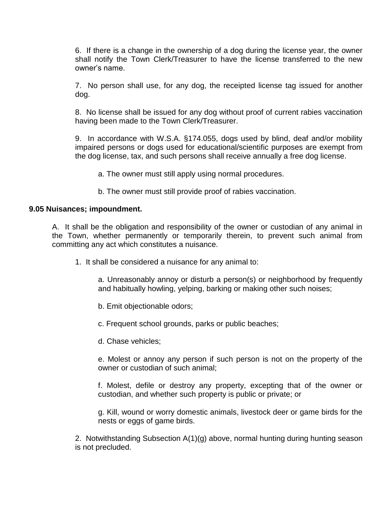6. If there is a change in the ownership of a dog during the license year, the owner shall notify the Town Clerk/Treasurer to have the license transferred to the new owner's name.

7. No person shall use, for any dog, the receipted license tag issued for another dog.

8. No license shall be issued for any dog without proof of current rabies vaccination having been made to the Town Clerk/Treasurer.

9. In accordance with W.S.A. §174.055, dogs used by blind, deaf and/or mobility impaired persons or dogs used for educational/scientific purposes are exempt from the dog license, tax, and such persons shall receive annually a free dog license.

a. The owner must still apply using normal procedures.

b. The owner must still provide proof of rabies vaccination.

# **9.05 Nuisances; impoundment.**

A. It shall be the obligation and responsibility of the owner or custodian of any animal in the Town, whether permanently or temporarily therein, to prevent such animal from committing any act which constitutes a nuisance.

1. It shall be considered a nuisance for any animal to:

a. Unreasonably annoy or disturb a person(s) or neighborhood by frequently and habitually howling, yelping, barking or making other such noises;

b. Emit objectionable odors;

c. Frequent school grounds, parks or public beaches;

d. Chase vehicles;

e. Molest or annoy any person if such person is not on the property of the owner or custodian of such animal;

f. Molest, defile or destroy any property, excepting that of the owner or custodian, and whether such property is public or private; or

g. Kill, wound or worry domestic animals, livestock deer or game birds for the nests or eggs of game birds.

2. Notwithstanding Subsection A(1)(g) above, normal hunting during hunting season is not precluded.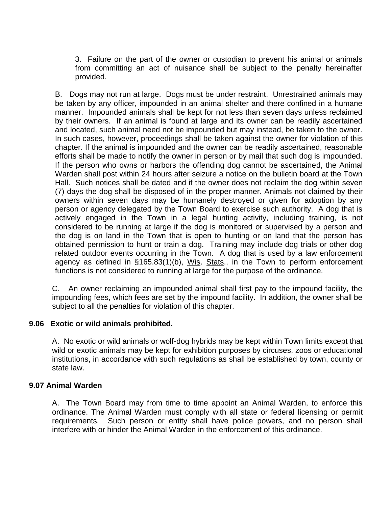3. Failure on the part of the owner or custodian to prevent his animal or animals from committing an act of nuisance shall be subject to the penalty hereinafter provided.

B. Dogs may not run at large. Dogs must be under restraint. Unrestrained animals may be taken by any officer, impounded in an animal shelter and there confined in a humane manner. Impounded animals shall be kept for not less than seven days unless reclaimed by their owners. If an animal is found at large and its owner can be readily ascertained and located, such animal need not be impounded but may instead, be taken to the owner. In such cases, however, proceedings shall be taken against the owner for violation of this chapter. If the animal is impounded and the owner can be readily ascertained, reasonable efforts shall be made to notify the owner in person or by mail that such dog is impounded. If the person who owns or harbors the offending dog cannot be ascertained, the Animal Warden shall post within 24 hours after seizure a notice on the bulletin board at the Town Hall. Such notices shall be dated and if the owner does not reclaim the dog within seven (7) days the dog shall be disposed of in the proper manner. Animals not claimed by their owners within seven days may be humanely destroyed or given for adoption by any person or agency delegated by the Town Board to exercise such authority. A dog that is actively engaged in the Town in a legal hunting activity, including training, is not considered to be running at large if the dog is monitored or supervised by a person and the dog is on land in the Town that is open to hunting or on land that the person has obtained permission to hunt or train a dog. Training may include dog trials or other dog related outdoor events occurring in the Town. A dog that is used by a law enforcement agency as defined in §165.83(1)(b), Wis. Stats., in the Town to perform enforcement functions is not considered to running at large for the purpose of the ordinance.

C. An owner reclaiming an impounded animal shall first pay to the impound facility, the impounding fees, which fees are set by the impound facility. In addition, the owner shall be subject to all the penalties for violation of this chapter.

# **9.06 Exotic or wild animals prohibited.**

A. No exotic or wild animals or wolf-dog hybrids may be kept within Town limits except that wild or exotic animals may be kept for exhibition purposes by circuses, zoos or educational institutions, in accordance with such regulations as shall be established by town, county or state law.

# **9.07 Animal Warden**

A. The Town Board may from time to time appoint an Animal Warden, to enforce this ordinance. The Animal Warden must comply with all state or federal licensing or permit requirements. Such person or entity shall have police powers, and no person shall interfere with or hinder the Animal Warden in the enforcement of this ordinance.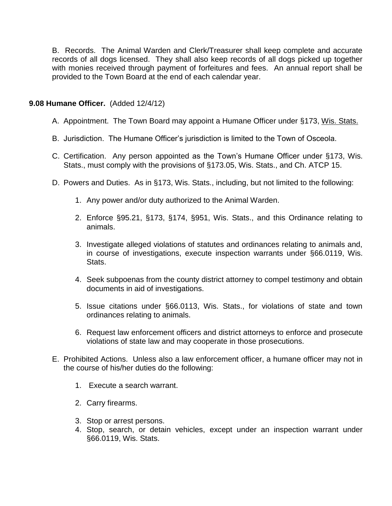B. Records. The Animal Warden and Clerk/Treasurer shall keep complete and accurate records of all dogs licensed. They shall also keep records of all dogs picked up together with monies received through payment of forfeitures and fees. An annual report shall be provided to the Town Board at the end of each calendar year.

# **9.08 Humane Officer.** (Added 12/4/12)

- A. Appointment. The Town Board may appoint a Humane Officer under §173, Wis. Stats.
- B. Jurisdiction. The Humane Officer's jurisdiction is limited to the Town of Osceola.
- C. Certification. Any person appointed as the Town's Humane Officer under §173, Wis. Stats., must comply with the provisions of §173.05, Wis. Stats., and Ch. ATCP 15.
- D. Powers and Duties. As in §173, Wis. Stats., including, but not limited to the following:
	- 1. Any power and/or duty authorized to the Animal Warden.
	- 2. Enforce §95.21, §173, §174, §951, Wis. Stats., and this Ordinance relating to animals.
	- 3. Investigate alleged violations of statutes and ordinances relating to animals and, in course of investigations, execute inspection warrants under §66.0119, Wis. Stats.
	- 4. Seek subpoenas from the county district attorney to compel testimony and obtain documents in aid of investigations.
	- 5. Issue citations under §66.0113, Wis. Stats., for violations of state and town ordinances relating to animals.
	- 6. Request law enforcement officers and district attorneys to enforce and prosecute violations of state law and may cooperate in those prosecutions.
- E. Prohibited Actions. Unless also a law enforcement officer, a humane officer may not in the course of his/her duties do the following:
	- 1. Execute a search warrant.
	- 2. Carry firearms.
	- 3. Stop or arrest persons.
	- 4. Stop, search, or detain vehicles, except under an inspection warrant under §66.0119, Wis. Stats.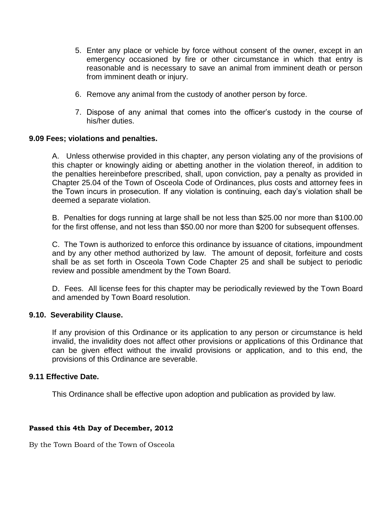- 5. Enter any place or vehicle by force without consent of the owner, except in an emergency occasioned by fire or other circumstance in which that entry is reasonable and is necessary to save an animal from imminent death or person from imminent death or injury.
- 6. Remove any animal from the custody of another person by force.
- 7. Dispose of any animal that comes into the officer's custody in the course of his/her duties.

# **9.09 Fees; violations and penalties.**

A. Unless otherwise provided in this chapter, any person violating any of the provisions of this chapter or knowingly aiding or abetting another in the violation thereof, in addition to the penalties hereinbefore prescribed, shall, upon conviction, pay a penalty as provided in Chapter 25.04 of the Town of Osceola Code of Ordinances, plus costs and attorney fees in the Town incurs in prosecution. If any violation is continuing, each day's violation shall be deemed a separate violation.

B. Penalties for dogs running at large shall be not less than \$25.00 nor more than \$100.00 for the first offense, and not less than \$50.00 nor more than \$200 for subsequent offenses.

C. The Town is authorized to enforce this ordinance by issuance of citations, impoundment and by any other method authorized by law. The amount of deposit, forfeiture and costs shall be as set forth in Osceola Town Code Chapter 25 and shall be subject to periodic review and possible amendment by the Town Board.

D. Fees. All license fees for this chapter may be periodically reviewed by the Town Board and amended by Town Board resolution.

#### **9.10. Severability Clause.**

If any provision of this Ordinance or its application to any person or circumstance is held invalid, the invalidity does not affect other provisions or applications of this Ordinance that can be given effect without the invalid provisions or application, and to this end, the provisions of this Ordinance are severable.

#### **9.11 Effective Date.**

This Ordinance shall be effective upon adoption and publication as provided by law.

#### **Passed this 4th Day of December, 2012**

By the Town Board of the Town of Osceola